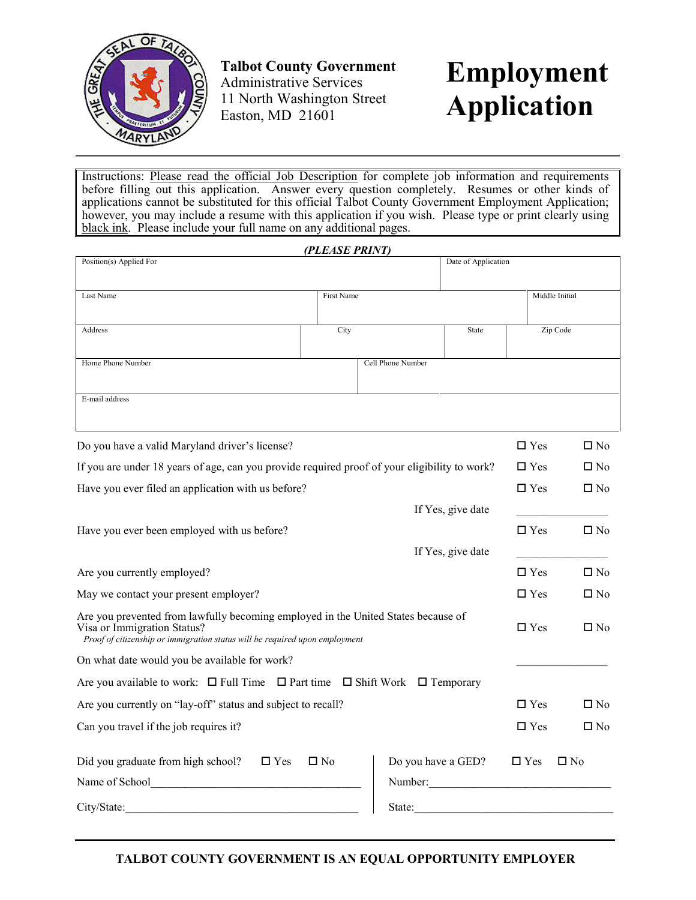

**Talbot County Government**  Administrative Services 11 North Washington Street Easton, MD 21601

# **Employment Application**

Instructions: Please read the official Job Description for complete job information and requirements before filling out this application. Answer every question completely. Resumes or other kinds of applications cannot be substituted for this official Talbot County Government Employment Application; however, you may include a resume with this application if you wish. Please type or print clearly using black ink. Please include your full name on any additional pages.

|                                                                                                                                                                                                 | (PLEASE PRINT) |                    |                     |               |                |
|-------------------------------------------------------------------------------------------------------------------------------------------------------------------------------------------------|----------------|--------------------|---------------------|---------------|----------------|
| Position(s) Applied For                                                                                                                                                                         |                |                    | Date of Application |               |                |
|                                                                                                                                                                                                 |                |                    |                     |               |                |
| Last Name                                                                                                                                                                                       | First Name     |                    |                     |               | Middle Initial |
| Address                                                                                                                                                                                         | City           |                    | State               |               | Zip Code       |
|                                                                                                                                                                                                 |                |                    |                     |               |                |
| Home Phone Number                                                                                                                                                                               |                | Cell Phone Number  |                     |               |                |
|                                                                                                                                                                                                 |                |                    |                     |               |                |
| E-mail address                                                                                                                                                                                  |                |                    |                     |               |                |
|                                                                                                                                                                                                 |                |                    |                     |               |                |
| Do you have a valid Maryland driver's license?                                                                                                                                                  |                |                    |                     | $\Box$ Yes    | $\Box$ No      |
| If you are under 18 years of age, can you provide required proof of your eligibility to work?                                                                                                   |                |                    |                     | $\Box$ Yes    | $\square$ No   |
| Have you ever filed an application with us before?                                                                                                                                              |                |                    |                     | $\Box$ Yes    | $\square$ No   |
|                                                                                                                                                                                                 |                |                    | If Yes, give date   |               |                |
| Have you ever been employed with us before?                                                                                                                                                     |                |                    |                     | $\square$ Yes | $\square$ No   |
|                                                                                                                                                                                                 |                |                    | If Yes, give date   |               |                |
| Are you currently employed?                                                                                                                                                                     |                |                    |                     | $\Box$ Yes    | $\Box$ No      |
| May we contact your present employer?                                                                                                                                                           |                |                    |                     | $\Box$ Yes    | $\square$ No   |
|                                                                                                                                                                                                 |                |                    |                     |               |                |
| Are you prevented from lawfully becoming employed in the United States because of<br>Visa or Immigration Status?<br>Proof of citizenship or immigration status will be required upon employment |                |                    |                     | $\Box$ Yes    | $\square$ No   |
| On what date would you be available for work?                                                                                                                                                   |                |                    |                     |               |                |
| Are you available to work: $\Box$ Full Time $\Box$ Part time $\Box$ Shift Work $\Box$ Temporary                                                                                                 |                |                    |                     |               |                |
| Are you currently on "lay-off" status and subject to recall?                                                                                                                                    |                |                    |                     | $\square$ Yes | $\square$ No   |
| Can you travel if the job requires it?                                                                                                                                                          |                |                    |                     | $\square$ Yes | $\square$ No   |
| Did you graduate from high school?<br>$\Box$ Yes                                                                                                                                                | $\square$ No   | Do you have a GED? |                     | $\square$ Yes | $\square$ No   |
| Name of School                                                                                                                                                                                  |                | Number:            |                     |               |                |
| City/State:                                                                                                                                                                                     |                | State:             |                     |               |                |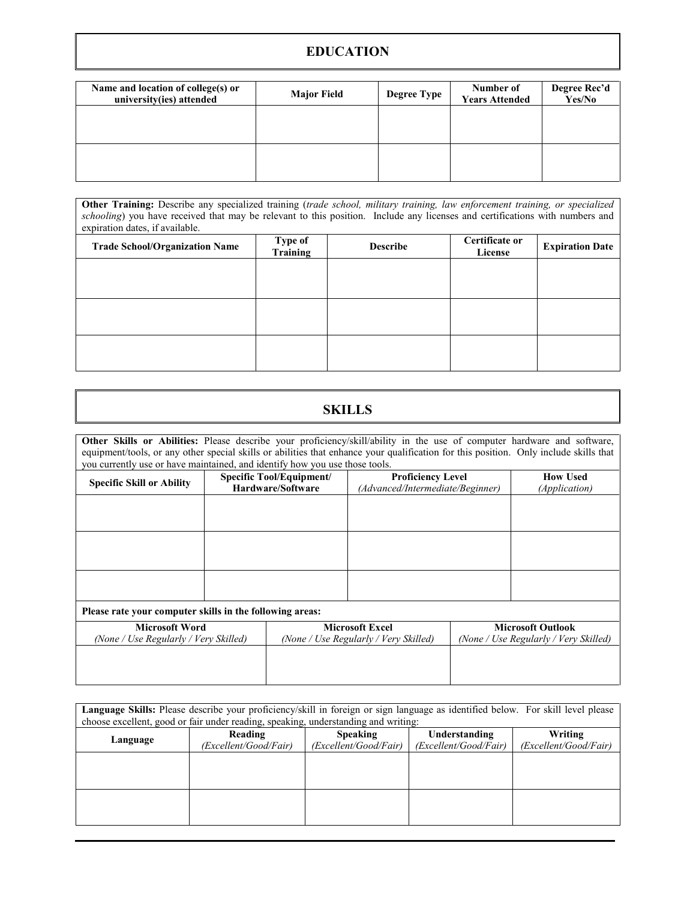### **EDUCATION**

| Name and location of college(s) or<br>university(ies) attended | <b>Major Field</b> | <b>Degree Type</b> | Number of<br><b>Years Attended</b> | Degree Rec'd<br>Yes/No |
|----------------------------------------------------------------|--------------------|--------------------|------------------------------------|------------------------|
|                                                                |                    |                    |                                    |                        |
|                                                                |                    |                    |                                    |                        |
|                                                                |                    |                    |                                    |                        |

**Other Training:** Describe any specialized training (*trade school, military training, law enforcement training, or specialized schooling*) you have received that may be relevant to this position. Include any licenses and certifications with numbers and expiration dates, if available.

| <b>Trade School/Organization Name</b> | Type of<br>Training | <b>Describe</b> | Certificate or<br>License | <b>Expiration Date</b> |
|---------------------------------------|---------------------|-----------------|---------------------------|------------------------|
|                                       |                     |                 |                           |                        |
|                                       |                     |                 |                           |                        |
|                                       |                     |                 |                           |                        |
|                                       |                     |                 |                           |                        |
|                                       |                     |                 |                           |                        |
|                                       |                     |                 |                           |                        |

# **SKILLS**

**Other Skills or Abilities:** Please describe your proficiency/skill/ability in the use of computer hardware and software, equipment/tools, or any other special skills or abilities that enhance your qualification for this position. Only include skills that you currently use or have maintained, and identify how you use those tools.

| <b>Specific Skill or Ability</b>                               | <b>Specific Tool/Equipment/</b><br>Hardware/Software | <b>Proficiency Level</b><br>(Advanced/Intermediate/Beginner)    |                                                                   | <b>How Used</b><br>(Application) |
|----------------------------------------------------------------|------------------------------------------------------|-----------------------------------------------------------------|-------------------------------------------------------------------|----------------------------------|
|                                                                |                                                      |                                                                 |                                                                   |                                  |
|                                                                |                                                      |                                                                 |                                                                   |                                  |
|                                                                |                                                      |                                                                 |                                                                   |                                  |
|                                                                |                                                      |                                                                 |                                                                   |                                  |
|                                                                |                                                      |                                                                 |                                                                   |                                  |
| Please rate your computer skills in the following areas:       |                                                      |                                                                 |                                                                   |                                  |
| <b>Microsoft Word</b><br>(None / Use Regularly / Very Skilled) |                                                      | <b>Microsoft Excel</b><br>(None / Use Regularly / Very Skilled) | <b>Microsoft Outlook</b><br>(None / Use Regularly / Very Skilled) |                                  |
|                                                                |                                                      |                                                                 |                                                                   |                                  |
|                                                                |                                                      |                                                                 |                                                                   |                                  |
|                                                                |                                                      |                                                                 |                                                                   |                                  |

| Language Skills: Please describe your proficiency/skill in foreign or sign language as identified below. For skill level please<br>choose excellent, good or fair under reading, speaking, understanding and writing: |                                  |                                          |                                        |                                  |
|-----------------------------------------------------------------------------------------------------------------------------------------------------------------------------------------------------------------------|----------------------------------|------------------------------------------|----------------------------------------|----------------------------------|
| Language                                                                                                                                                                                                              | Reading<br>(Excellent/Good/Fair) | <b>Speaking</b><br>(Excellent/Good/Fair) | Understanding<br>(Excellent/Good/Fair) | Writing<br>(Excellent/Good/Fair) |
|                                                                                                                                                                                                                       |                                  |                                          |                                        |                                  |
|                                                                                                                                                                                                                       |                                  |                                          |                                        |                                  |
|                                                                                                                                                                                                                       |                                  |                                          |                                        |                                  |
|                                                                                                                                                                                                                       |                                  |                                          |                                        |                                  |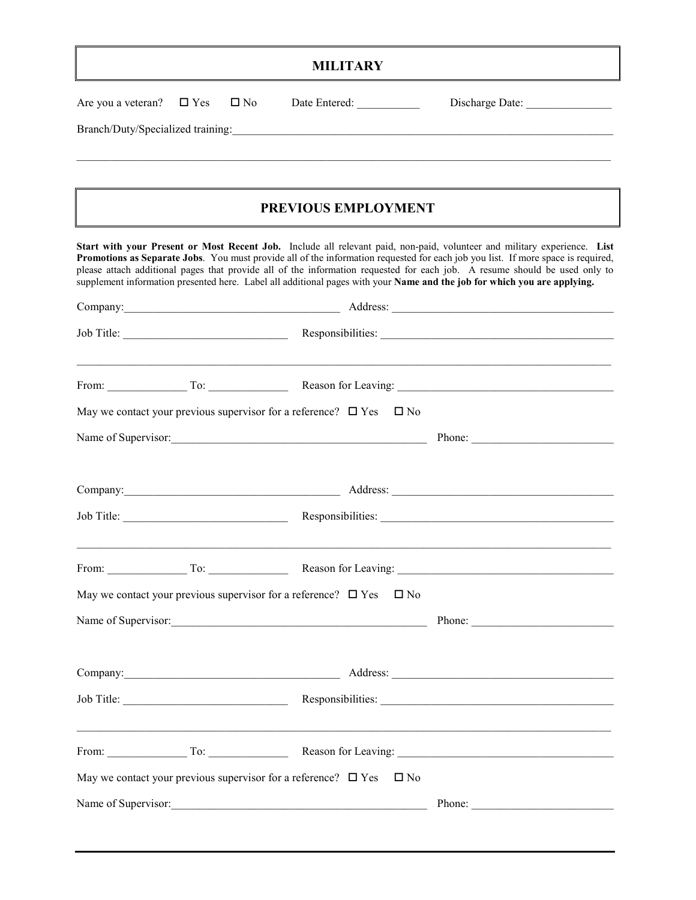## **MILITARY**

| Are you a veteran?<br>Branch/Duty/Specialized training: | $\square$ No<br>$\square$ Yes                                               |                                                                                     | Discharge Date:<br><u> 1989 - Johann Stoff, amerikansk politiker (* 1908)</u>                                                                                                                                                                                                                                                                                                                                                                                                                                          |
|---------------------------------------------------------|-----------------------------------------------------------------------------|-------------------------------------------------------------------------------------|------------------------------------------------------------------------------------------------------------------------------------------------------------------------------------------------------------------------------------------------------------------------------------------------------------------------------------------------------------------------------------------------------------------------------------------------------------------------------------------------------------------------|
|                                                         |                                                                             | PREVIOUS EMPLOYMENT                                                                 |                                                                                                                                                                                                                                                                                                                                                                                                                                                                                                                        |
|                                                         |                                                                             |                                                                                     | Start with your Present or Most Recent Job. Include all relevant paid, non-paid, volunteer and military experience. List<br>Promotions as Separate Jobs. You must provide all of the information requested for each job you list. If more space is required,<br>please attach additional pages that provide all of the information requested for each job. A resume should be used only to<br>supplement information presented here. Label all additional pages with your Name and the job for which you are applying. |
|                                                         |                                                                             |                                                                                     |                                                                                                                                                                                                                                                                                                                                                                                                                                                                                                                        |
|                                                         |                                                                             |                                                                                     |                                                                                                                                                                                                                                                                                                                                                                                                                                                                                                                        |
|                                                         |                                                                             |                                                                                     | <u> 1989 - Johann John Stone, markin fan de ferfingen fan de ferfingen fan de ferfingen fan de ferfingen fan de f</u><br>From: To: To: Reason for Leaving: 2008. Containers and the United States of Leaving:                                                                                                                                                                                                                                                                                                          |
|                                                         | May we contact your previous supervisor for a reference? $\Box$ Yes         | $\Box$ No                                                                           |                                                                                                                                                                                                                                                                                                                                                                                                                                                                                                                        |
|                                                         |                                                                             | Name of Supervisor:                                                                 | Phone:                                                                                                                                                                                                                                                                                                                                                                                                                                                                                                                 |
|                                                         |                                                                             |                                                                                     |                                                                                                                                                                                                                                                                                                                                                                                                                                                                                                                        |
|                                                         |                                                                             |                                                                                     |                                                                                                                                                                                                                                                                                                                                                                                                                                                                                                                        |
|                                                         | From: $\begin{array}{c} \n\end{array}$ To:                                  |                                                                                     |                                                                                                                                                                                                                                                                                                                                                                                                                                                                                                                        |
|                                                         | May we contact your previous supervisor for a reference? $\Box$ Yes         | $\square$ No                                                                        |                                                                                                                                                                                                                                                                                                                                                                                                                                                                                                                        |
|                                                         |                                                                             | Name of Supervisor:                                                                 | Phone:                                                                                                                                                                                                                                                                                                                                                                                                                                                                                                                 |
|                                                         | Company: <u>company</u>                                                     |                                                                                     |                                                                                                                                                                                                                                                                                                                                                                                                                                                                                                                        |
|                                                         |                                                                             |                                                                                     |                                                                                                                                                                                                                                                                                                                                                                                                                                                                                                                        |
|                                                         | From: $\begin{array}{c} \n\end{array}$ To: $\begin{array}{c} \n\end{array}$ |                                                                                     |                                                                                                                                                                                                                                                                                                                                                                                                                                                                                                                        |
|                                                         |                                                                             | May we contact your previous supervisor for a reference? $\Box$ Yes<br>$\square$ No |                                                                                                                                                                                                                                                                                                                                                                                                                                                                                                                        |
|                                                         |                                                                             |                                                                                     |                                                                                                                                                                                                                                                                                                                                                                                                                                                                                                                        |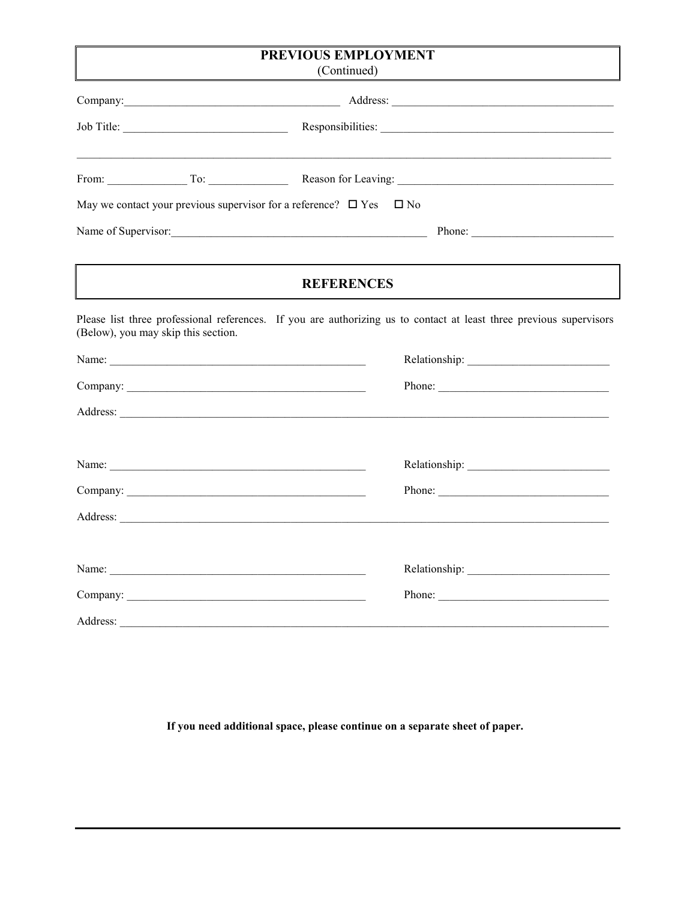| PREVIOUS EMPLOYMENT                                                                                                                                                                                                            |                                                                                                                                                                                                                                |  |
|--------------------------------------------------------------------------------------------------------------------------------------------------------------------------------------------------------------------------------|--------------------------------------------------------------------------------------------------------------------------------------------------------------------------------------------------------------------------------|--|
| (Continued)                                                                                                                                                                                                                    |                                                                                                                                                                                                                                |  |
|                                                                                                                                                                                                                                |                                                                                                                                                                                                                                |  |
| Job Title:                                                                                                                                                                                                                     |                                                                                                                                                                                                                                |  |
| From: To: To: Reason for Leaving:                                                                                                                                                                                              |                                                                                                                                                                                                                                |  |
| May we contact your previous supervisor for a reference? $\Box$ Yes $\Box$ No                                                                                                                                                  |                                                                                                                                                                                                                                |  |
| Name of Supervisor: Phone: Phone: Phone: Phone: Phone: Phone: Phone: Phone: Phone: Phone: Phone: Phone: Phone: Phone: Phone: Phone: Phone: Phone: Phone: Phone: Phone: Phone: Phone: Phone: Phone: Phone: Phone: Phone: Phone: |                                                                                                                                                                                                                                |  |
|                                                                                                                                                                                                                                |                                                                                                                                                                                                                                |  |
| <b>REFERENCES</b>                                                                                                                                                                                                              |                                                                                                                                                                                                                                |  |
| Please list three professional references. If you are authorizing us to contact at least three previous supervisors<br>(Below), you may skip this section.                                                                     |                                                                                                                                                                                                                                |  |
|                                                                                                                                                                                                                                |                                                                                                                                                                                                                                |  |
|                                                                                                                                                                                                                                | Phone:                                                                                                                                                                                                                         |  |
|                                                                                                                                                                                                                                |                                                                                                                                                                                                                                |  |
|                                                                                                                                                                                                                                |                                                                                                                                                                                                                                |  |
| Name:                                                                                                                                                                                                                          | Relationship: Network of the state of the state of the state of the state of the state of the state of the state of the state of the state of the state of the state of the state of the state of the state of the state of th |  |
|                                                                                                                                                                                                                                | Phone:                                                                                                                                                                                                                         |  |
|                                                                                                                                                                                                                                |                                                                                                                                                                                                                                |  |
|                                                                                                                                                                                                                                |                                                                                                                                                                                                                                |  |
|                                                                                                                                                                                                                                |                                                                                                                                                                                                                                |  |
|                                                                                                                                                                                                                                |                                                                                                                                                                                                                                |  |
|                                                                                                                                                                                                                                |                                                                                                                                                                                                                                |  |

If you need additional space, please continue on a separate sheet of paper.